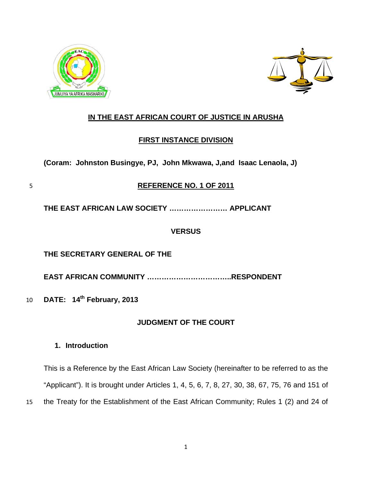



# **IN THE EAST AFRICAN COURT OF JUSTICE IN ARUSHA**

# **FIRST INSTANCE DIVISION**

**(Coram: Johnston Busingye, PJ, John Mkwawa, J,and Isaac Lenaola, J)** 

# 5 **REFERENCE NO. 1 OF 2011**

**THE EAST AFRICAN LAW SOCIETY …………………… APPLICANT** 

# **VERSUS**

# **THE SECRETARY GENERAL OF THE**

**EAST AFRICAN COMMUNITY ……………………………..RESPONDENT** 

10 **DATE: 14th February, 2013** 

# **JUDGMENT OF THE COURT**

# **1. Introduction**

15 This is a Reference by the East African Law Society (hereinafter to be referred to as the "Applicant"). It is brought under Articles 1, 4, 5, 6, 7, 8, 27, 30, 38, 67, 75, 76 and 151 of the Treaty for the Establishment of the East African Community; Rules 1 (2) and 24 of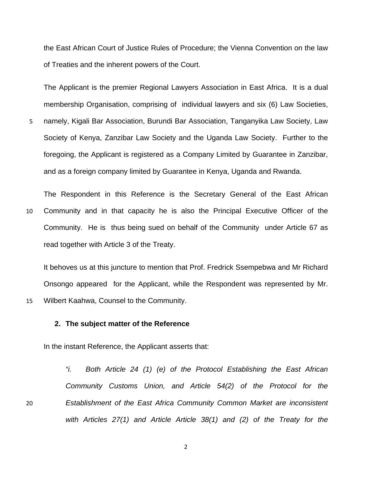the East African Court of Justice Rules of Procedure; the Vienna Convention on the law of Treaties and the inherent powers of the Court.

The Applicant is the premier Regional Lawyers Association in East Africa. It is a dual membership Organisation, comprising of individual lawyers and six (6) Law Societies,

namely, Kigali Bar Association, Burundi Bar Association, Tanganyika Law Society, Law Society of Kenya, Zanzibar Law Society and the Uganda Law Society. Further to the foregoing, the Applicant is registered as a Company Limited by Guarantee in Zanzibar, and as a foreign company limited by Guarantee in Kenya, Uganda and Rwanda. 5

10 The Respondent in this Reference is the Secretary General of the East African Community and in that capacity he is also the Principal Executive Officer of the Community. He is thus being sued on behalf of the Community under Article 67 as read together with Article 3 of the Treaty.

It behoves us at this juncture to mention that Prof. Fredrick Ssempebwa and Mr Richard Onsongo appeared for the Applicant, while the Respondent was represented by Mr. Wilbert Kaahwa, Counsel to the Community.

#### **2. The subject matter of the Reference**

15

20

In the instant Reference, the Applicant asserts that:

*"i. Both Article 24 (1) (e) of the Protocol Establishing the East African Community Customs Union, and Article 54(2) of the Protocol for the Establishment of the East Africa Community Common Market are inconsistent with Articles 27(1) and Article Article 38(1) and (2) of the Treaty for the*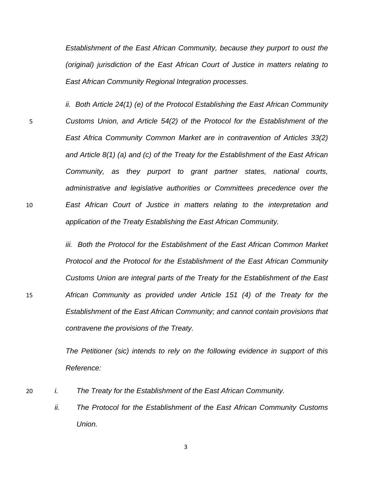*Establishment of the East African Community, because they purport to oust the (original) jurisdiction of the East African Court of Justice in matters relating to East African Community Regional Integration processes.* 

*ii. Both Article 24(1) (e) of the Protocol Establishing the East African Community Customs Union, and Article 54(2) of the Protocol for the Establishment of the East Africa Community Common Market are in contravention of Articles 33(2) and Article 8(1) (a) and (c) of the Treaty for the Establishment of the East African Community, as they purport to grant partner states, national courts, administrative and legislative authorities or Committees precedence over the East African Court of Justice in matters relating to the interpretation and application of the Treaty Establishing the East African Community.*  5 10

> *iii.* Both the Protocol for the Establishment of the East African Common Market *Protocol and the Protocol for the Establishment of the East African Community Customs Union are integral parts of the Treaty for the Establishment of the East African Community as provided under Article 151 (4) of the Treaty for the Establishment of the East African Community; and cannot contain provisions that contravene the provisions of the Treaty.*

*The Petitioner (sic) intends to rely on the following evidence in support of this Reference:* 

- 20 *i.* The Treaty for the Establishment of the East African Community.
	- *ii. The Protocol for the Establishment of the East African Community Customs Union.*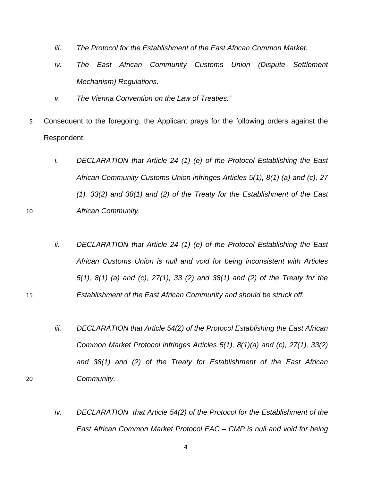- *iii. The Protocol for the Establishment of the East African Common Market.*
- *Mechanism)* Regulations. iv. The East African Community Customs Union (Dispute Settlement
- *." v. The Vienna Convention on the Law of Treaties*

10

15

- 5 Consequent to the foregoing, the Applicant prays for the following orders against the Respondent:
	- *i. DECLARATION that Article 24 (1) (e) of the Protocol Establishing the East African Community Customs Union infringes Articles 5(1), 8(1) (a) and (c), 27 (1), 33(2) and 38(1) and (2) of the Treaty for the Establishment of the East African Community.*
	- *ii. DECLARATION that Article 24 (1) (e) of the Protocol Establishing the East African Customs Union is null and void for being inconsistent with Articles 5(1), 8(1) (a) and (c), 27(1), 33 (2) and 38(1) and (2) of the Treaty for the Establishment of the East African Community and should be struck off.*
	- *iii. DECLARATION that Article 54(2) of the Protocol Establishing the East African Common Market Protocol infringes Articles 5(1), 8(1)(a) and (c), 27(1), 33(2) and 38(1) and (2) of the Treaty for Establishment of the East African Community.*
	- *iv. DECLARATION that Article 54(2) of the Protocol for the Establishment of the East African Common Market Protocol EAC – CMP is null and void for being* 
		- 4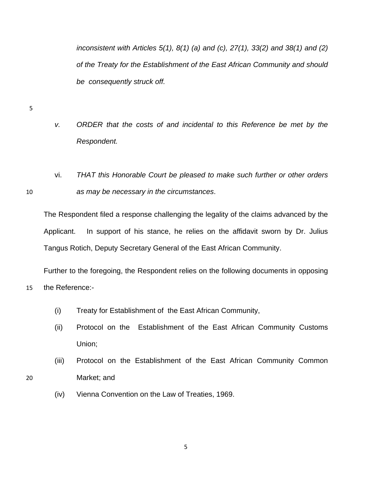*inconsistent with Articles 5(1), 8(1) (a) and (c), 27(1), 33(2) and 38(1) and (2) of the Treaty for the Establishment of the East African Community and should be consequently struck off.* 

5

15

20

- *v. ORDER that the costs of and incidental to this Reference be met by the Respondent.*
- 10 **as may be necessary in the circumstances**. vi. *THAT this Honorable Court be pleased to make such further or other orders*

The Respondent filed a response challenging the legality of the claims advanced by the Applicant. In support of his stance, he relies on the affidavit sworn by Dr. Julius Tangus Rotich, Deputy Secretary General of the East African Community.

Further to the foregoing, the Respondent relies on the following documents in opposing the Reference:-

- (i) Treaty for Establishment of the East African Community,
- (ii) Protocol on the Establishment of the East African Community Customs Union;
- (iii) Protocol on the Establishment of the East African Community Common Market; and
- (iv) Vienna Convention on the Law of Treaties, 1969.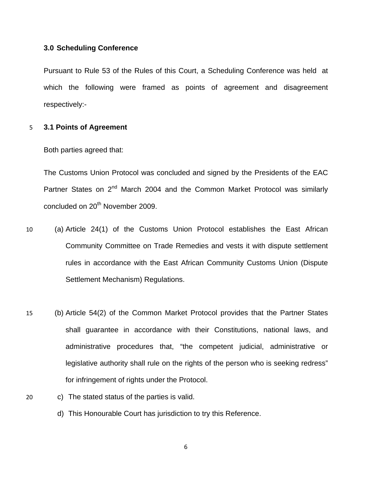#### **3.0 Scheduling Conference**

Pursuant to Rule 53 of the Rules of this Court, a Scheduling Conference was held at which the following were framed as points of agreement and disagreement respectively:-

#### 5 **3.1 Points of Agreement**

Both parties agreed that:

Partner States on 2<sup>nd</sup> March 2004 and the Common Market Protocol was similarly The Customs Union Protocol was concluded and signed by the Presidents of the EAC concluded on 20<sup>th</sup> November 2009.

- 10 rules in accordance with the East African Community Customs Union (Dispute Settlement Mechanism) Regulations. (a) Article 24(1) of the Customs Union Protocol establishes the East African Community Committee on Trade Remedies and vests it with dispute settlement
- 15 legislative authority shall rule on the rights of the person who is seeking redress" (b) Article 54(2) of the Common Market Protocol provides that the Partner States shall guarantee in accordance with their Constitutions, national laws, and administrative procedures that, "the competent judicial, administrative or for infringement of rights under the Protocol.
- 20 c) The stated status of the parties is valid.
	- d) This Honourable Court has jurisdiction to try this Reference.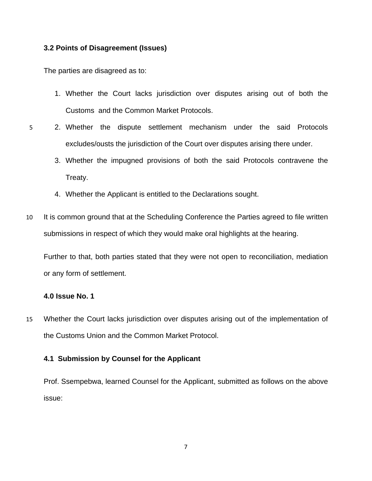#### **3.2 Points of Disagreement (Issues)**

The parties are disagreed as to:

- 1. Whether the Court lacks jurisdiction over disputes arising out of both the Customs and the Common Market Protocols.
- 2. Whether the dispute settlement mechanism under the said Protocols excludes/ousts the jurisdiction of the Court over disputes arising there under.
	- 3. Whether the impugned provisions of both the said Protocols contravene the Treaty.
	- 4. Whether the Applicant is entitled to the Declarations sought.
- 10 It is common ground that at the Scheduling Conference the Parties agreed to file written submissions in respect of which they would make oral highlights at the hearing.

Further to that, both parties stated that they were not open to reconciliation, mediation or any form of settlement.

#### **4.0 Issue No. 1**

15 Whether the Court lacks jurisdiction over disputes arising out of the implementation of the Customs Union and the Common Market Protocol.

## **4.1 Submission by Counsel for the Applicant**

Prof. Ssempebwa, learned Counsel for the Applicant, submitted as follows on the above issue: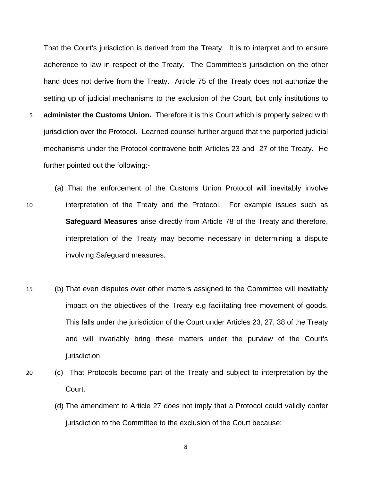That the Court's jurisdiction is derived from the Treaty. It is to interpret and to ensure adherence to law in respect of the Treaty. The Committee's jurisdiction on the other hand does not derive from the Treaty. Article 75 of the Treaty does not authorize the setting up of judicial mechanisms to the exclusion of the Court, but only institutions to 5 **administer the Customs Union.** Therefore it is this Court which is properly seized with

- jurisdiction over the Protocol. Learned counsel further argued that the purported judicial mechanisms under the Protocol contravene both Articles 23 and 27 of the Treaty. He further pointed out the following:-
- 10 **interpretation of the Treaty and the Protocol.** For example issues such as **afeguard Measures** arise directly from Article 78 of the Treaty and therefore, **S** (a) That the enforcement of the Customs Union Protocol will inevitably involve interpretation of the Treaty may become necessary in determining a dispute involving Safeguard measures.
- 15 impact on the objectives of the Treaty e.g facilitating free movement of goods. and will invariably bring these matters under the purview of the Court's (b) That even disputes over other matters assigned to the Committee will inevitably This falls under the jurisdiction of the Court under Articles 23, 27, 38 of the Treaty jurisdiction.
- 20 (c) That Protocols become part of the Treaty and subject to interpretation by the Court.
	- (d) The amendment to Article 27 does not imply that a Protocol could validly confer jurisdiction to the Committee to the exclusion of the Court because:
		- 8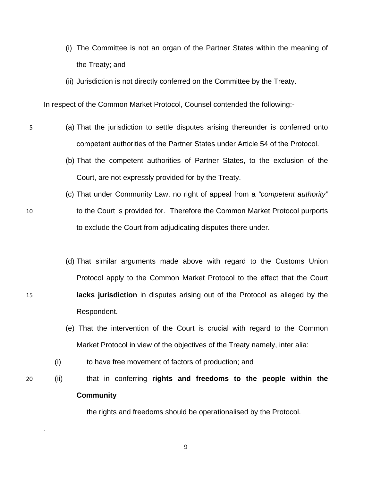- (i) The Committee is not an organ of the Partner States within the meaning of the Treaty; and
- (ii) Jurisdiction is not directly conferred on the Committee by the Treaty.

In respect of the Common Market Protocol, Counsel contended the following:-

- 5 (a) That the jurisdiction to settle disputes arising thereunder is conferred onto competent authorities of the Partner States under Article 54 of the Protocol.
	- (b) That the competent authorities of Partner States, to the exclusion of the Court, are not expressly provided for by the Treaty.
	- (c) That under Community Law, no right of appeal from a "competent authority" to the Court is provided for. Therefore the Common Market Protocol purports to exclude the Court from adjudicating disputes there under.
		- (d) That similar arguments made above with regard to the Customs Union Protocol apply to the Common Market Protocol to the effect that the Court **lacks jurisdiction** in disputes arising out of the Protocol as alleged by the Respondent.
			- (e) That the intervention of the Court is crucial with regard to the Common Market Protocol in view of the objectives of the Treaty namely, inter alia:

(i) to have free movement of factors of production; and

**Community** (ii) that in conferring **rights and freedoms to the people within the** 

9

the rights and freedoms should be operationalised by the Protocol.

15

20

.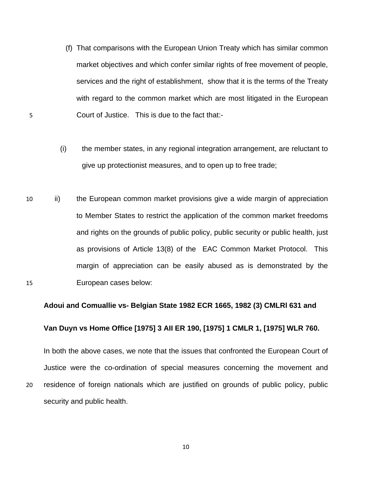(f) That comparisons with the European Union Treaty which has similar common market objectives and which confer similar rights of free movement of people, services and the right of establishment, show that it is the terms of the Treaty with regard to the common market which are most litigated in the European Court of Justice. This is due to the fact that:-

5

- (i) the member states, in any regional integration arrangement, are reluctant to give up protectionist measures, and to open up to free trade;
- 10 and rights on the grounds of public policy, public security or public health, just margin of appreciation can be easily abused as is demonstrated by the 15 ii) the European common market provisions give a wide margin of appreciation to Member States to restrict the application of the common market freedoms as provisions of Article 13(8) of the EAC Common Market Protocol. This European cases below:

#### **Adoui and Comuallie vs- Belgian State 1982 ECR 1665, 1982 (3) CMLRl 631 and**

#### **Van Duyn vs Home Office [1975] 3 AII ER 190, [1975] 1 CMLR 1, [1975] WLR 760.**

In both the above cases, we note that the issues that confronted the European Court of 20 residence of foreign nationals which are justified on grounds of public policy, public security and public health. Justice were the co-ordination of special measures concerning the movement and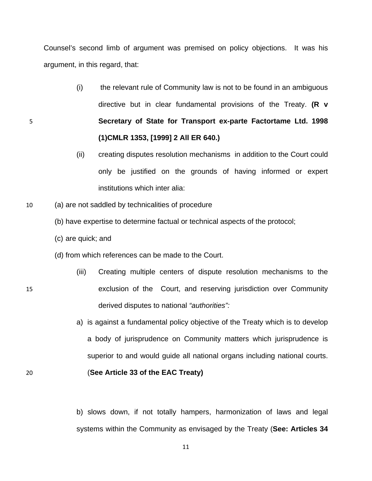Counsel's second limb of argument was premised on policy objections. It was his argument, i n this regard, that:

- directive but in clear fundamental provisions of the Treaty. (R v 5 **ort ex-parte Factortame Ltd. 1998 Secretary of State for Transp (1)CMLR 1353, [1999] 2 All ER 640.)** (i) the relevant rule of Community law is not to be found in an ambiguous
	- only be justified on the grounds of having informed or expert (ii) creating disputes resolution mechanisms in addition to the Court could institutions which inter alia:
- 10 (a) are not saddled by technicalities of procedure
	- (b) have exper tise to determine factual or technical aspects of the protocol;
	- (c) are quick; and

15

- (d) from which references can be made to the Court.
- derived disputes to national *"authorities":* (iii) Creating multiple centers of dispute resolution mechanisms to the exclusion of the Court, and reserving jurisdiction over Community
	- a) is against a fundamental policy objective of the Treaty which is to develop a body of jurisprudence on Community matters which jurisprudence is superior to and would guide all national organs including national courts.

20 (**See Article 33 of the EAC Treaty)** 

b) slows down, if not totally hampers, harmonization of laws and legal systems within the Community as envisaged by the Treaty (See: Articles 34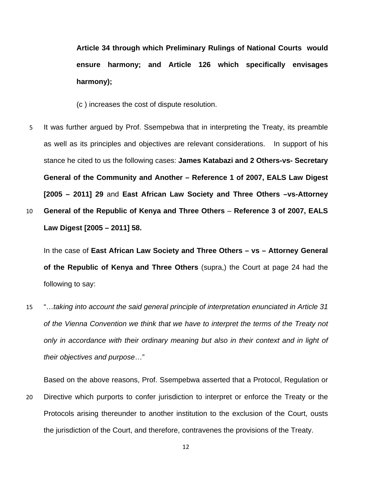**Article 34 through which Preliminary Rulings of National Courts would ensure harmony; and Article 126 which specifically envisages harmony);**

(c ) increases the cost of dispute resolution.

It was further argued by Prof. Ssempebwa that in interpreting the Treaty, its preamble as well as its principles and ob jectives are relevant considerations. In support of his 5 stance he cited to us the following cases: **James Katabazi and 2 Others-vs- Secretary [2005 – 2011] 29 and East African Law Society and Three Others -vs-Attorney** 10 General of the Republic of Kenya and Three Others – Reference 3 of 2007, EALS **General of the Community and Another – Reference 1 of 2007, EALS Law Digest** 

**Law Digest [2005 – 2011] 58.**

In the case of **East African Law Society and Three Others – vs – Attorney General of the Republic of Kenya and Three Others** (supra,) the Court at page 24 had the following to say:

15 *of the Vienna Convention we think that we have to interpret the terms of the Treaty not*  "…*taking into account the said general principle of interpretation enunciated in Article 31 only in accordance with their ordinary meaning but also in their context and in light of their objectives and purpose*…"

20 Protocols arising thereunder to another institution to the exclusion of the Court, ousts the jurisdiction of the Court, and therefore, contravenes the provisions of the Treaty. Based on the above reasons, Prof. Ssempebwa asserted that a Protocol, Regulation or Directive which purports to confer jurisdiction to interpret or enforce the Treaty or the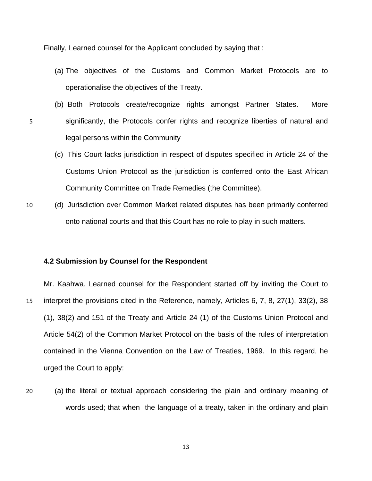Finally, Learned counsel for the Applicant concluded by saying that :

- (a) The objectives of the Customs and Common Market Protocols are to operationalise the objectives of the Treaty.
- (b) Both Protocols create/recognize rights amongst Partner States. More significantly, the Protocols confer rights and recognize liberties of natural and legal persons within the Community
	- Community Committee on Trade Remedies (the Committee). (c) This Court lacks jurisdiction in respect of disputes specified in Article 24 of the Customs Union Protocol as the jurisdiction is conferred onto the East African
- 10 (d) Jurisdiction over Common Market related disputes has been primarily conferred onto national courts and that this Court has no role to play in such matters.

## **4.2 Submission by Counsel for the Respondent**

5

15  $(1)$ , 38 $(2)$  and 151 of the Treaty and Article 24  $(1)$  of the Customs Union Protocol and Mr. Kaahwa, Learned counsel for the Respondent started off by inviting the Court to interpret the provisions cited in the Reference, namely, Articles 6, 7, 8, 27(1), 33(2), 38 Article 54(2) of the Common Market Protocol on the basis of the rules of interpretation contained in the Vienna Convention on the Law of Treaties, 1969. In this regard, he urged the Court to apply:

20 (a) the literal or textual approach considering the plain and ordinary meaning of words used; that when the language of a treaty, taken in the ordinary and plain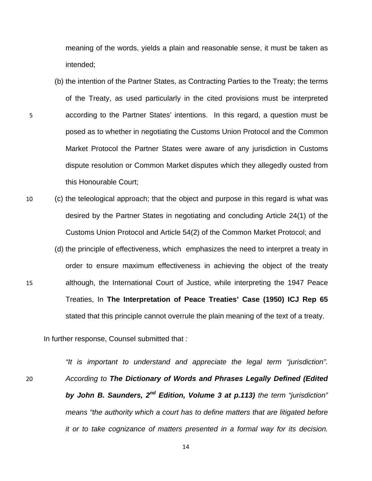meaning of the words, yields a plain and reasonable sense, it must be taken as intended;

- (b) the intention of the Partner States, as Contracting Parties to the Treaty; the terms of the Treaty, as used particularly in the cited provisions must be interpreted 5 according to the Partner States' intentions. In this regard, a question must be posed as to whether in negotiating the Customs Union Protocol and the Common Market Protocol the Partner States were aware of any jurisdiction in Customs dispute resolution or Common Market disputes which they allegedly ousted from this Honourable Court;
- 10 (c) the teleological approach; that the object and purpose in this regard is what was desired by the Partner States in negotiating and concluding Article 24(1) of the Customs Union Protocol and Article 54(2) of the Common Market Protocol; and
- order to ensure maximum effectiveness in achieving the object of the treaty 15 although, the International Court of Justice, while interpreting the 1947 Peace (d) the principle of effectiveness, which emphasizes the need to interpret a treaty in Treaties, In **The Interpretation of Peace Treaties' Case (1950) ICJ Rep 65** stated that this principle cannot overrule the plain meaning of the text of a treaty.

In further response, Counsel submitted that *:* 

20

*means "the authority which a court has to define matters that are litigated before it or to take cognizance of matters presented in a formal way for its decision. "It is important to understand and appreciate the legal term "jurisdiction". According to The Dictionary of Words and Phrases Legally Defined (Edited by John B. Saunders, 2nd Edition, Volume 3 at p.113) the term "jurisdiction"*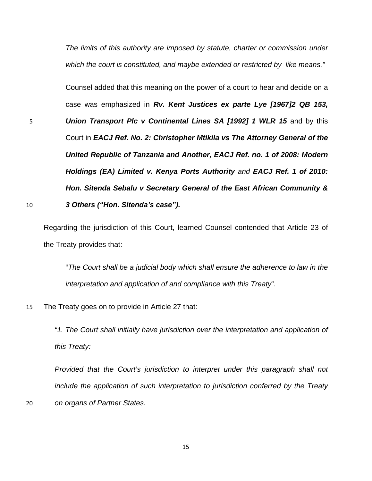*The limits of this authority are imposed by statute, charter or commission under which the court is constituted, and maybe extended or restricted by like means."* 

Counsel added that this meaning on the power of a court to hear and decide on a case was emphasized in *Rv. Kent Justices ex parte Lye [1967]2 QB 153, Union Transport Plc v Continental Lines SA [1992] 1 WLR 15* and by this Court in *EACJ Ref. No. 2: Christopher Mtikila vs The Attorney General of the United Republic of Tanzania and Another, EACJ Ref. no. 1 of 2008: Modern Holdings (EA) Limited v. Kenya Ports Authority and EACJ Ref. 1 of 2010:*  10 **3 Others ("Hon. Sitenda's case").** *Hon. Sitenda Sebalu v Secretary General of the East African Community &* 

20

5

Regard ing the jurisdiction of this Court, learned Counsel contended that Article 23 of the Tre aty provides that:

"The Court shall be a judicial body which shall ensure the adherence to law in the *interpretation and application of and compliance with this Treaty*".

15 The Treaty goes on to provide in Article 27 that:

*"1. The Court shall initially have jurisdiction over the interpretation and application of this Treaty:* 

Provided that the Court's jurisdiction to interpret under this paragraph shall not *include the application of such interpretation to jurisdiction conferred by the Treaty on organs of Partner States.*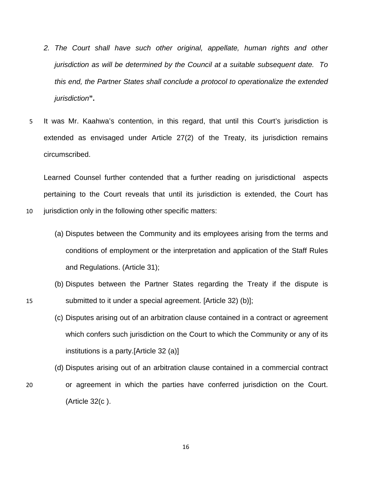- *2. The Court shall have such other original, appellate, human rights and other jurisdiction as will be determined by the Council at a suitable subsequent date. To this end, the Partner States shall conclude a protocol to operationalize the extended jurisdiction***".**
- 5 It was Mr. Kaahwa's contention, in this regard, that until this Court's jurisdiction is extended as envisaged under Article 27(2) of the Treaty, its jurisdiction remains circumscribed.

Learned Counsel further contended that a further reading on jurisdictional aspects pertaining to the Court reveals that until its jurisdiction is extended, the Court has

10 jurisdiction only in the following other specific matters:

15

20

- (a) Disputes between the Community and its employees arising from the terms and conditions of employment or the interpretation and application of the Staff Rules and Regulations. (Article 31);
- (b) Disputes between the Partner States regarding the Treaty if the dispute is submitted to it under a special agreement. [Article 32) (b)];
- (c) Disputes arising out of an arbitration clause contained in a contract or agreement which confers such jurisdiction on the Court to which the Community or any of its institutions is a party.[Article 32 (a)]
- (d) Disputes arising out of an arbitration clause contained in a commercial contract
- or agreement in which the parties have conferred jurisdiction on the Court. (Article 32(c ).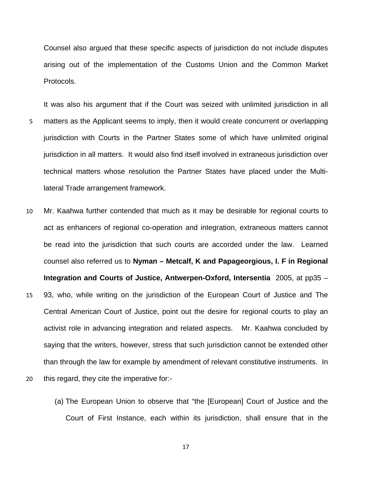Counsel also argued that these specific aspects of jurisdiction do not include disputes arising out of the implementation of the Customs Union and the Common Market Protocols.

- It was also his argument that if the Court was seized with unlimited jurisdiction in all matters as the Applicant seems to imply, then it would create concurrent or overlapping jurisdiction with Courts in the Partner States some of which have unlimited original 5 jurisdiction in all matters. It would also find itself involved in extraneous jurisdiction over technical matters whose resolution the Partner States have placed under the Multilateral Trade arrangement framework.
- 10 **Integration and Courts of Justice, Antwerpen-Oxford, Intersentia** 2005, at pp35 – 15 activist role in advancing integration and related aspects. Mr. Kaahwa concluded by Mr. Kaahwa further contended that much as it may be desirable for regional courts to act as enhancers of regional co-operation and integration, extraneous matters cannot be read into the jurisdiction that such courts are accorded under the law. Learned counsel also referred us to **Nyman – Metcalf, K and Papageorgious, I. F in Regional**  93, who, while writing on the jurisdiction of the European Court of Justice and The Central American Court of Justice, point out the desire for regional courts to play an saying that the writers, however, stress that such jurisdiction cannot be extended other than through the law for example by amendment of relevant constitutive instruments. In
- 20 this regard, they cite the imperative for:-
	- (a) The European Union to observe that "the [European] Court of Justice and the Court of First Instance, each within its jurisdiction, shall ensure that in the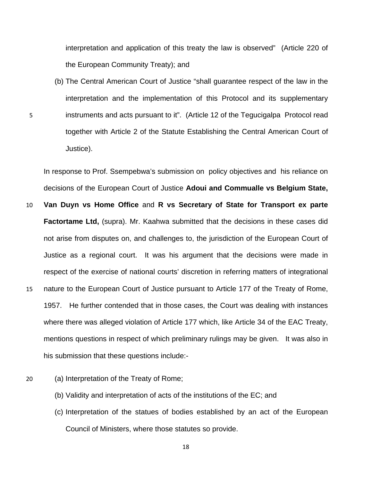interpretation and application of this treaty the law is observed" (Article 220 of the European Community Treaty); and

(b) The Central American Court of Justice "shall guarantee respect of the law in the interpretation and the implementation of this Protocol and its supplementary instruments and acts pursuant to it". (Article 12 of the Tegucigalpa Protocol read together with Article 2 of the Statute Establishing the Central American Court of Justice).

In response to Prof. Ssempebwa's submission on policy objectives and his reliance on decisions of the European Court of Justice **Adoui and Commualle vs Belgium State,** 

- 10 15 1957. He further contended that in those cases, the Court was dealing with instances **Van Duyn vs Home Office** and **R vs Secretary of State for Transport ex parte Factortame Ltd,** (supra). Mr. Kaahwa submitted that the decisions in these cases did not arise from disputes on, and challenges to, the jurisdiction of the European Court of Justice as a regional court. It was his argument that the decisions were made in respect of the exercise of national courts' discretion in referring matters of integrational nature to the European Court of Justice pursuant to Article 177 of the Treaty of Rome, where there was alleged violation of Article 177 which, like Article 34 of the EAC Treaty, mentions questions in respect of which preliminary rulings may be given. It was also in his submission that these questions include:-
- 20 (a) Interpretation of the Treaty of Rome;

5

- (b) Validity and interpretation of acts of the institutions of the EC; and
- Council of Ministers, where those statutes so provide. (c) Interpretation of the statues of bodies established by an act of the European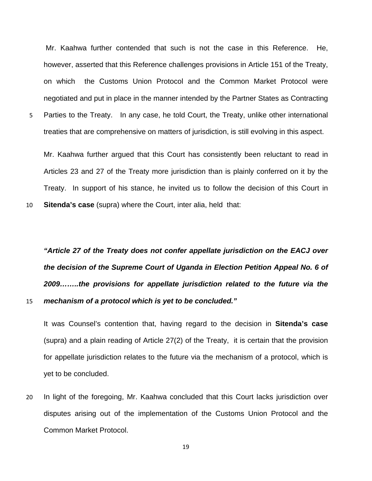Mr. Kaahwa further contended that such is not the case in this Reference. He, however, asserted that this Reference challenges provisions in Article 151 of the Treaty, on which the Customs Union Protocol and the Common Market Protocol were negotiated and put in place in the manner intended by the Partner States as Contracting

Parties to the Treaty. In any case, he told Court, the Treaty, unlike other international treaties that are comprehensive on matters of jurisdiction, is still evolving in this aspect. 5

Mr. Kaahwa further argued that this Court has consistently been reluctant to read in Articles 23 and 27 of the Treaty more jurisdiction than is plainly conferred on it by the Treaty. In support of his stance, he invited us to follow the decision of this Court in **Sitenda's case** (supra) where the Court, inter alia, held that:

10

15

"Article 27 of the Treaty does not confer appellate jurisdiction on the EACJ over *the decision of the Supreme Court of Uganda in Election Petition Appeal No. 6 of 2009……..the provisions for appellate jurisdiction related to the future via the mechanism of a protocol which is yet to be concluded."* 

It was Counsel's contention that, having regard to the decision in **Sitenda's case** (supra) and a plain reading of Article 27(2) of the Treaty, it is certain that the provision for appellate jurisdiction relates to the future via the mechanism of a protocol, which is yet to be concluded.

20 disputes arising out of the implementation of the Customs Union Protocol and the Common Market Protocol. In light of the foregoing, Mr. Kaahwa concluded that this Court lacks jurisdiction over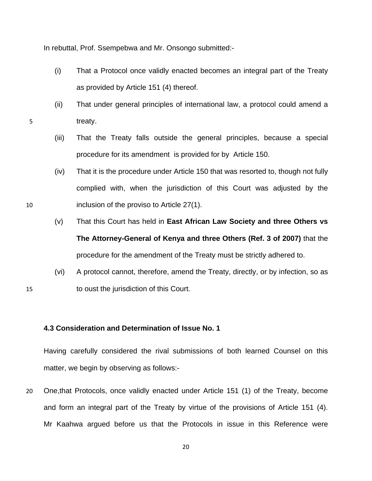In rebuttal, Prof. Ssempebwa and Mr. Onsongo submitted:-

- (i) That a Protocol once validly enacted becomes an integral part of the Treaty as provided by Article 151 (4) thereof.
- (ii) That under general principles of international law, a protocol could amend a treaty.
- (iii) That the Treaty falls outside the general principles, because a special procedure for its amendment is provided for by Article 150.
- complied with, when the jurisdiction of this Court was adjusted by the (iv) That it is the procedure under Article 150 that was resorted to, though not fully inclusion of the proviso to Article 27(1).
- The Attorney-General of Kenya and three Others (Ref. 3 of 2007) that the (v) That this Court has held in **East African Law Society and three Others vs**  procedure for the amendment of the Treaty must be strictly adhered to.
- (vi) A protocol cannot, therefore, amend the Treaty, directly, or by infection, so as to oust the jurisdiction of this Court.

#### **4.3 Consideration and Determination of Issue No. 1**

Having carefully considered the rival submissions of both learned Counsel on this matter, we begin by observing as follows:-

20 One,that Protocols, once validly enacted under Article 151 (1) of the Treaty, become and form an integral part of the Treaty by virtue of the provisions of Article 151 (4). Mr Kaahwa argued before us that the Protocols in issue in this Reference were

10

15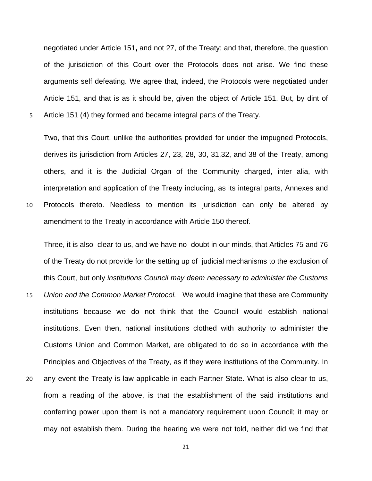negotiated under Article 151**,** and not 27, of the Treaty; and that, therefore, the question of the jurisdiction of this Court over the Protocols does not arise. We find these arguments self defeating. We agree that, indeed, the Protocols were negotiated under Article 151, and that is as it should be, given the object of Article 151. But, by dint of Article 151 (4) they formed and became integral parts of the Treaty.

5

10 Protocols thereto. Needless to mention its jurisdiction can only be altered by amendment to the Treaty in accordance with Article 150 thereof. Two, that this Court, unlike the authorities provided for under the impugned Protocols, derives its jurisdiction from Articles 27, 23, 28, 30, 31,32, and 38 of the Treaty, among others, and it is the Judicial Organ of the Community charged, inter alia, with interpretation and application of the Treaty including, as its integral parts, Annexes and

Three, it is also clear to us, and we have no doubt in our minds, that Articles 75 and 76 of the Treaty do not provide for the setting up of judicial mechanisms to the exclusion of this Court, but only *institutions Council may deem necessary to administer the Customs* 

- 15 *Union and the Common Market Protocol.* We would imagine that these are Community institutions because we do not think that the Council would establish national institutions. Even then, national institutions clothed with authority to administer the Customs Union and Common Market, are obligated to do so in accordance with the Principles and Objectives of the Treaty, as if they were institutions of the Community. In
- 20 any event the Treaty is law applicable in each Partner State. What is also clear to us, from a reading of the above, is that the establishment of the said institutions and conferring power upon them is not a mandatory requirement upon Council; it may or may not establish them. During the hearing we were not told, neither did we find that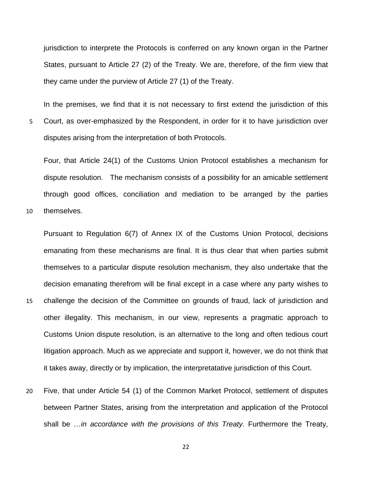jurisdiction to interprete the Protocols is conferred on any known organ in the Partner States, pursuant to Article 27 (2) of the Treaty. We are, therefore, of the firm view that they came under the purview of Article 27 (1) of the Treaty.

5 Court, as over-emphasized by the Respondent, in order for it to have jurisdiction over disputes arising from the interpretation of both Protocols. In the premises, we find that it is not necessary to first extend the jurisdiction of this

through good offices, conciliation and mediation to be arranged by the parties Four, that Article 24(1) of the Customs Union Protocol establishes a mechanism for dispute resolution. The mechanism consists of a possibility for an amicable settlement

10 themselves.

15

litigation approach. Much as we appreciate and support it, however, we do not think that Pursuant to Regulation 6(7) of Annex IX of the Customs Union Protocol, decisions emanating from these mechanisms are final. It is thus clear that when parties submit themselves to a particular dispute resolution mechanism, they also undertake that the decision emanating therefrom will be final except in a case where any party wishes to challenge the decision of the Committee on grounds of fraud, lack of jurisdiction and other illegality. This mechanism, in our view, represents a pragmatic approach to Customs Union dispute resolution, is an alternative to the long and often tedious court it takes away, directly or by implication, the interpretatative jurisdiction of this Court.

20 shall be *…in accordance with the provisions of this Treaty.* Furthermore the Treaty, Five, that under Article 54 (1) of the Common Market Protocol, settlement of disputes between Partner States, arising from the interpretation and application of the Protocol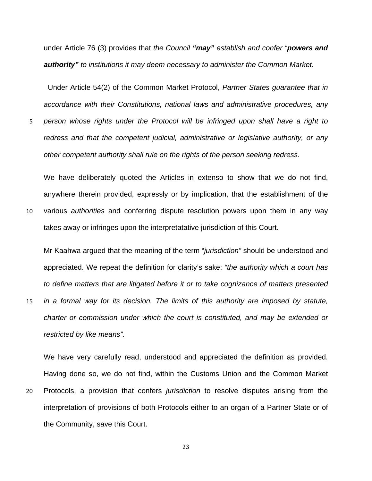under Article 76 (3) provides that *the Council "may" establish and confer "powers and authority" to institutions it may deem necessary to administer the Common Market.* 

Under Article 54(2) of the Common Market Protocol, *Partner States guarantee that in accordance with their Constitutions, national laws and administrative procedures, any* 

*person whose rights under the Protocol will be infringed upon shall have a right to redress and that the competent judicial, administrative or legislative authority, or any other competent authority shall rule on the rights of the person seeking redress.* 5

We have deliberately quoted the Articles in extenso to show that we do not find, anywhere therein provided, expressly or by implication, that the establishment of the various *authorities* and conferring dispute resolution powers upon them in any way takes away or infringes upon the interpretatative jurisdiction of this Court.

10

Mr Kaahwa argued that the meaning of the term "*jurisdiction"* should be understood and appreciated. We repeat the definition for clarity's sake: *"the authority which a court has to define matters that are litigated before it or to take cognizance of matters presented* 

15 *in a formal way for its decision. The limits of this authority are imposed by statute, charter or commission under which the court is constituted, and may be extended or restricted by like means".*

We have very carefully read, understood and appreciated the definition as provided. Having done so, we do not find, within the Customs Union and the Common Market

20 Protocols, a provision that confers *jurisdiction* to resolve disputes arising from the interpretation of provisions of both Protocols either to an organ of a Partner State or of the Community, save this Court.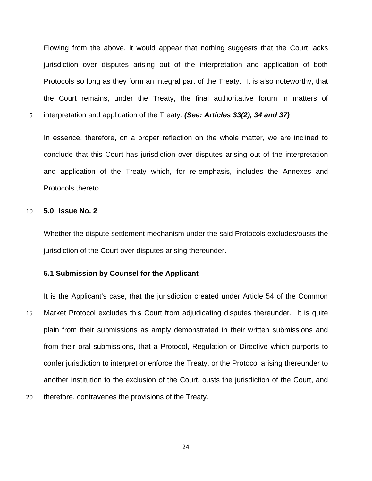Flowing from the above, it would appear that nothing suggests that the Court lacks jurisdiction over disputes arising out of the interpretation and application of both Protocols so long as they form an integral part of the Treaty. It is also noteworthy, that the Court remains, under the Treaty, the final authoritative forum in matters of

5 interpretation and application of the Treaty. *(See: Articles 33(2), 34 and 37)* 

In essence, therefore, on a proper reflection on the whole matter, we are inclined to conclude that this Court has jurisdiction over disputes arising out of the interpretation and application of the Treaty which, for re-emphasis, includes the Annexes and Protocols thereto.

## 10 **5.0 Issue No. 2**

Whether the dispute settlement mechanism under the said Protocols excludes/ousts the jurisdiction of the Court over disputes arising thereunder.

#### **5.1 Submission by Counsel for the Applicant**

15 It is the Applicant's case, that the jurisdiction created under Article 54 of the Common Market Protocol excludes this Court from adjudicating disputes thereunder. It is quite plain from their submissions as amply demonstrated in their written submissions and from their oral submissions, that a Protocol, Regulation or Directive which purports to confer jurisdiction to interpret or enforce the Treaty, or the Protocol arising thereunder to another institution to the exclusion of the Court, ousts the jurisdiction of the Court, and

20 therefore, contravenes the provisions of the Treaty.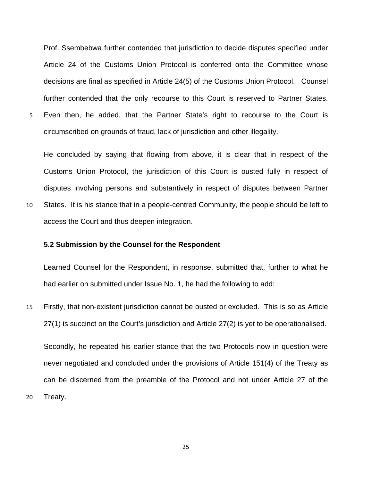Prof. Ssembebwa further contended that jurisdiction to decide disputes specified under Article 24 of the Customs Union Protocol is conferred onto the Committee whose decisions are final as specified in Article 24(5) of the Customs Union Protocol. Counsel further contended that the only recourse to this Court is reserved to Partner States. Even then, he added, that the Partner State's right to recourse to the Court is

circumscribed on grounds of fraud, lack of jurisdiction and other illegality.

He concluded by saying that flowing from above, it is clear that in respect of the Customs Union Protocol, the jurisdiction of this Court is ousted fully in respect of disputes involving persons and substantively in respect of disputes between Partner States. It is his stance that in a people-centred Community, the people should be left to

access the Court and thus deepen integration.

5

10

20

## **5.2 Submission by the Counsel for the Respondent**

Learned Counsel for the Respondent, in response, submitted that, further to what he had earlier on submitted under Issue No. 1, he had the following to add:

15 Firstly, that non-existent jurisdiction cannot be ousted or excluded. This is so as Article 27(1) is succinct on the Court's jurisdiction and Article 27(2) is yet to be operationalised.

Secondly, he repeated his earlier stance that the two Protocols now in question were never negotiated and concluded under the provisions of Article 151(4) of the Treaty as can be discerned from the preamble of the Protocol and not under Article 27 of the Treaty.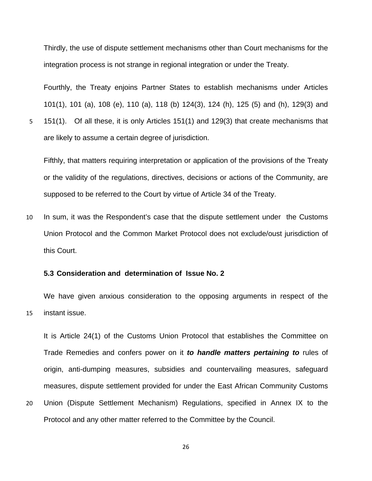Thirdly, the use of dispute settlement mechanisms other than Court mechanisms for the integration process is not strange in regional integration or under the Treaty.

Fourthly, the Treaty enjoins Partner States to establish mechanisms under Articles 101(1), 101 (a), 108 (e), 110 (a), 118 (b) 124(3), 124 (h), 125 (5) and (h), 129(3) and 151(1). Of all these, it is only Articles 151(1) and 129(3) that create mechanisms that are likely to assume a certain degree of jurisdiction.

Fifthly, that matters requiring interpretation or application of the provisions of the Treaty or the validity of the regulations, directives, decisions or actions of the Community, are supposed to be referred to the Court by virtue of Article 34 of the Treaty.

10 In sum, it was the Respondent's case that the dispute settlement under the Customs Union Protocol and the Common Market Protocol does not exclude/oust jurisdiction of this Court.

### **5.3 Consideration and determination of Issue No. 2**

5

20

15 We have given anxious consideration to the opposing arguments in respect of the instant issue.

It is Article 24(1) of the Customs Union Protocol that establishes the Committee on Trade Remedies and confers power on it *to handle matters pertaining to* rules of origin, anti-dumping measures, subsidies and countervailing measures, safeguard measures, dispute settlement provided for under the East African Community Customs Union (Dispute Settlement Mechanism) Regulations, specified in Annex IX to the Protocol and any other matter referred to the Committee by the Council.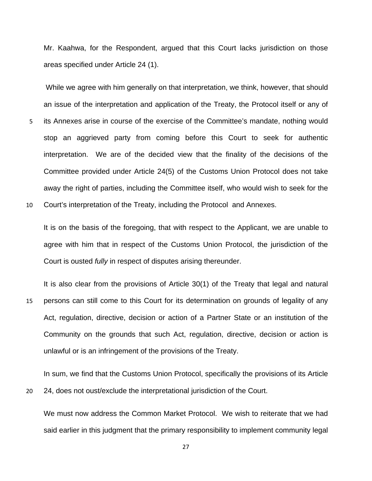Mr. Kaahwa, for the Respondent, argued that this Court lacks jurisdiction on those areas specified under Article 24 (1).

 While we agree with him generally on that interpretation, we think, however, that should an issue of the interpretation and application of the Treaty, the Protocol itself or any of its Annexes arise in course of the exercise of the Committee's mandate, nothing would stop an aggrieved party from coming before this Court to seek for authentic interpretation. We are of the decided view that the finality of the decisions of the Committee provided under Article 24(5) of the Customs Union Protocol does not take away the right of parties, including the Committee itself, who would wish to seek for the Court's interpretation of the Treaty, including the Protocol and Annexes. 5 10

It is on the basis of the foregoing, that with respect to the Applicant, we are unable to agree with him that in respect of the Customs Union Protocol, the jurisdiction of the Court is ousted *fully* in respect of disputes arising thereunder.

15 It is also clear from the provisions of Article 30(1) of the Treaty that legal and natural persons can still come to this Court for its determination on grounds of legality of any Act, regulation, directive, decision or action of a Partner State or an institution of the Community on the grounds that such Act, regulation, directive, decision or action is unlawful or is an infringement of the provisions of the Treaty.

In sum, we find that the Customs Union Protocol, specifically the provisions of its Article 24, does not oust/exclude the interpretational jurisdiction of the Court.

20

We must now address the Common Market Protocol. We wish to reiterate that we had said earlier in this judgment that the primary responsibility to implement community legal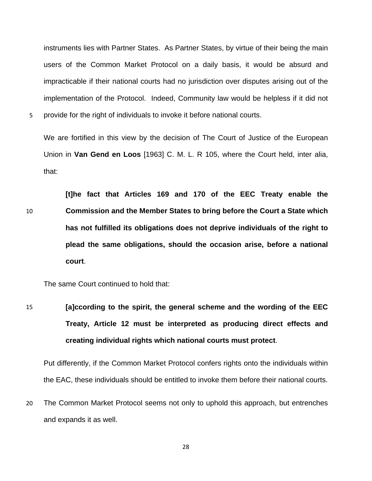instruments lies with Partner States. As Partner States, by virtue of their being the main users of the Common Market Protocol on a daily basis, it would be absurd and impracticable if their national courts had no jurisdiction over disputes arising out of the implementation of the Protocol. Indeed, Community law would be helpless if it did not 5 provide for the right of individuals to invoke it before national courts.

We are fortified in this view by the decision of The Court of Justice of the European Union in **Van Gend en Loos** [1963] C. M. L. R 105, where the Court held, inter alia, that:

10 **[t]he fact that Articles 169 and 170 of the EEC Treaty enable the Commission and the Member States to bring before the Court a State which has not fulfilled its obligations does not deprive individuals of the right to plead the same obligations, should the occasion arise, before a national court**.

The same Court continued to hold that:

15 **[a]ccording to the spirit, the general scheme and the wording of the EEC Treaty, Article 12 must be interpreted as producing direct effects and creating individual rights which national courts must protect**.

Put differently, if the Common Market Protocol confers rights onto the individuals within the EAC, these individuals should be entitled to invoke them before their national courts.

20 The Common Market Protocol seems not only to uphold this approach, but entrenches and expands it as well.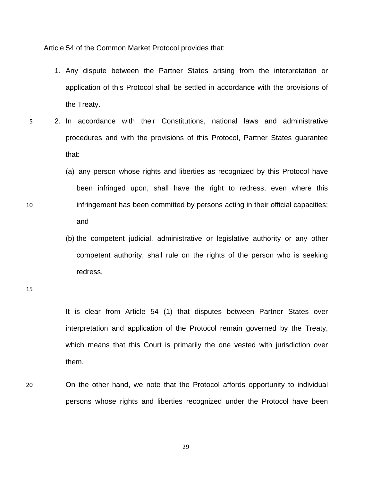Article 54 of the Common Market Protocol provides that:

- 1. Any dispute between the Partner States arising from the interpretation or application of this Protocol shall be settled in accordance with the provisions of the Treaty.
- 5 2. In accordance with their Constitutions, national laws and administrative procedures and with the provisions of this Protocol, Partner States guarantee that:
	- (a) any person whose rights and liberties as recognized by this Protocol have been infringed upon, shall have the right to redress, even where this infringement has been committed by persons acting in their official capacities; and
		- (b) the competent judicial, administrative or legislative authority or any other competent authority, shall rule on the rights of the person who is seeking redress.

15

10

It is clear from Article 54 (1) that disputes between Partner States over interpretation and application of the Protocol remain governed by the Treaty, which means that this Court is primarily the one vested with jurisdiction over them.

20 On the other hand, we note that the Protocol affords opportunity to individual persons whose rights and liberties recognized under the Protocol have been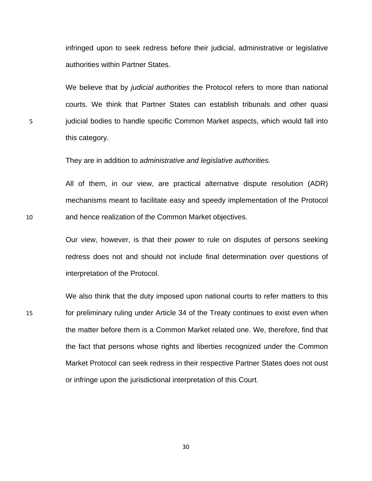infringed upon to seek redress before their judicial, administrative or legislative authorities within Partner States.

We believe that by *judicial authorities* the Protocol refers to more than national courts. We think that Partner States can establish tribunals and other quasi judicial bodies to handle specific Common Market aspects, which would fall into this category.

They are in addition to *administrative and legislative authorities.*

All of them, in our view, are practical alternative dispute resolution (ADR) mechanisms meant to facilitate easy and speedy implementation of the Protocol and hence realization of the Common Market objectives.

Our view, however, is that their *power* to rule on disputes of persons seeking redress does not and should not include final determination over questions of interpretation of the Protocol.

We also think that the duty imposed upon national courts to refer matters to this for preliminary ruling under Article 34 of the Treaty continues to exist even when the matter before them is a Common Market related one. We, therefore, find that the fact that persons whose rights and liberties recognized under the Common Market Protocol can seek redress in their respective Partner States does not oust or infringe upon the jurisdictional interpretation of this Court.

10

5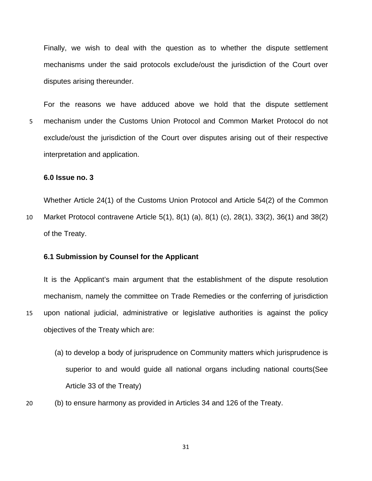Finally, we wish to deal with the question as to whether the dispute settlement mechanisms under the said protocols exclude/oust the jurisdiction of the Court over disputes arising thereunder.

For the reasons we have adduced above we hold that the dispute settlement mechanism under the Customs Union Protocol and Common Market Protocol do not exclude/oust the jurisdiction of the Court over disputes arising out of their respective interpretation and application. 5

## **6.0 Issue no. 3**

10 Whether Article 24(1) of the Customs Union Protocol and Article 54(2) of the Common Market Protocol contravene Article 5(1), 8(1) (a), 8(1) (c), 28(1), 33(2), 36(1) and 38(2) of the Treaty.

#### **6.1 Submission by Counsel for the Applicant**

15 It is the Applicant's main argument that the establishment of the dispute resolution mechanism, namely the committee on Trade Remedies or the conferring of jurisdiction upon national judicial, administrative or legislative authorities is against the policy objectives of the Treaty which are:

- (a) to develop a body of jurisprudence on Community matters which jurisprudence is superior to and would guide all national organs including national courts(See Article 33 of the Treaty)
- 20 (b) to ensure harmony as provided in Articles 34 and 126 of the Treaty.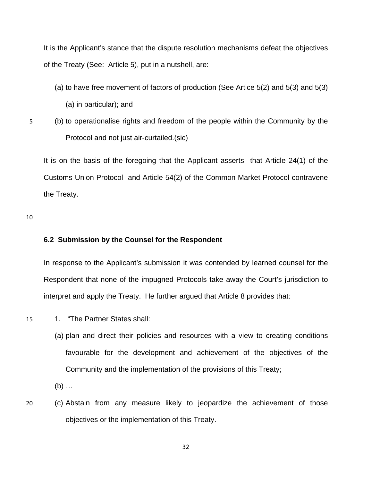It is the Applicant's stance that the dispute resolution mechanisms defeat the objectives of the Treaty (See: Article 5), put in a nutshell, are:

(a) to have free movement of factors of production (See Artice 5(2) and 5(3) and 5(3)

(a) in particular); and

5 (b) to operationalise rights and freedom of the people within the Community by the Protocol and not just air-curtailed.(sic)

It is on the basis of the foregoing that the Applicant asserts that Article 24(1) of the Customs Union Protocol and Article 54(2) of the Common Market Protocol contravene the Treaty.

10

#### **6.2 Submission by the Counsel for the Respondent**

In response to the Applicant's submission it was contended by learned counsel for the Respondent that none of the impugned Protocols take away the Court's jurisdiction to interpret and apply the Treaty. He further argued that Article 8 provides that:

- 15 1. "The Partner States shall:
	- (a) plan and direct their policies and resources with a view to creating conditions favourable for the development and achievement of the objectives of the Community and the implementation of the provisions of this Treaty;

(b) …

20 (c) Abstain from any measure likely to jeopardize the achievement of those objectives or the implementation of this Treaty.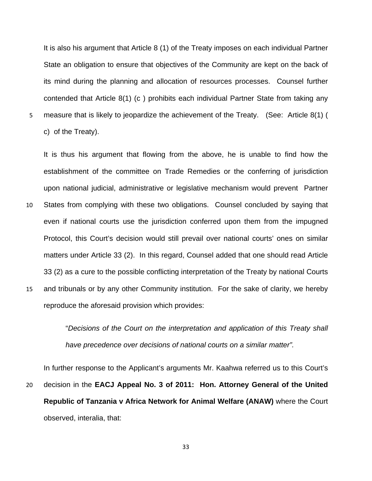It is also his argument that Article 8 (1) of the Treaty imposes on each individual Partner State an obligation to ensure that objectives of the Community are kept on the back of its mind during the planning and allocation of resources processes. Counsel further contended that Article 8(1) (c ) prohibits each individual Partner State from taking any measure that is likely to jeopardize the achievement of the Treaty. (See: Article 8(1) ( c) of the Treaty).

5

10 15 It is thus his argument that flowing from the above, he is unable to find how the establishment of the committee on Trade Remedies or the conferring of jurisdiction upon national judicial, administrative or legislative mechanism would prevent Partner States from complying with these two obligations. Counsel concluded by saying that even if national courts use the jurisdiction conferred upon them from the impugned Protocol, this Court's decision would still prevail over national courts' ones on similar matters under Article 33 (2). In this regard, Counsel added that one should read Article 33 (2) as a cure to the possible conflicting interpretation of the Treaty by national Courts and tribunals or by any other Community institution. For the sake of clarity, we hereby reproduce the aforesaid provision which provides:

> "*Decisions of the Court on the interpretation and application of this Treaty shall have precedence over decisions of national courts on a similar matter".*

20 In further response to the Applicant's arguments Mr. Kaahwa referred us to this Court's decision in the **EACJ Appeal No. 3 of 2011: Hon. Attorney General of the United Republic of Tanzania v Africa Network for Animal Welfare (ANAW)** where the Court observed, interalia, that: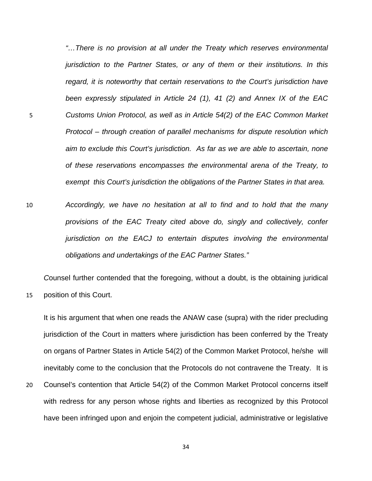*"…There is no provision at all under the Treaty which reserves environmental jurisdiction to the Partner States, or any of them or their institutions. In this regard, it is noteworthy that certain reservations to the Court's jurisdiction have been expressly stipulated in Article 24 (1), 41 (2) and Annex IX of the EAC Customs Union Protocol, as well as in Article 54(2) of the EAC Common Market Protocol – through creation of parallel mechanisms for dispute resolution which aim to exclude this Court's jurisdiction. As far as we are able to ascertain, none of these reservations encompasses the environmental arena of the Treaty, to exempt this Court's jurisdiction the obligations of the Partner States in that area.* 

5

15

10 *Accordingly, we have no hesitation at all to find and to hold that the many provisions of the EAC Treaty cited above do, singly and collectively, confer jurisdiction on the EACJ to entertain disputes involving the environmental obligations and undertakings of the EAC Partner States."* 

*C*ounsel further contended that the foregoing, without a doubt, is the obtaining juridical position of this Court.

It is his argument that when one reads the ANAW case (supra) with the rider precluding jurisdiction of the Court in matters where jurisdiction has been conferred by the Treaty on organs of Partner States in Article 54(2) of the Common Market Protocol, he/she will inevitably come to the conclusion that the Protocols do not contravene the Treaty. It is

20 Counsel's contention that Article 54(2) of the Common Market Protocol concerns itself with redress for any person whose rights and liberties as recognized by this Protocol have been infringed upon and enjoin the competent judicial, administrative or legislative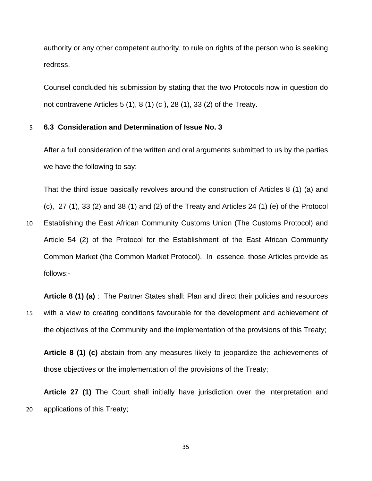authority or any other competent authority, to rule on rights of the person who is seeking redress.

Counsel concluded his submission by stating that the two Protocols now in question do not contravene Articles 5 (1), 8 (1) (c ), 28 (1), 33 (2) of the Treaty.

#### 5 **6.3 Consideration and Determination of Issue No. 3**

After a full consideration of the written and oral arguments submitted to us by the parties we have the following to say:

That the third issue basically revolves around the construction of Articles 8 (1) (a) and  $(c)$ , 27  $(1)$ , 33  $(2)$  and 38  $(1)$  and  $(2)$  of the Treaty and Articles 24  $(1)$   $(e)$  of the Protocol

10 Establishing the East African Community Customs Union (The Customs Protocol) and Article 54 (2) of the Protocol for the Establishment of the East African Community Common Market (the Common Market Protocol). In essence, those Articles provide as follows:-

15 **Article 8 (1) (a)** : The Partner States shall: Plan and direct their policies and resources with a view to creating conditions favourable for the development and achievement of the objectives of the Community and the implementation of the provisions of this Treaty;

**Article 8 (1) (c)** abstain from any measures likely to jeopardize the achievements of those objectives or the implementation of the provisions of the Treaty;

20 **Article 27 (1)** The Court shall initially have jurisdiction over the interpretation and applications of this Treaty;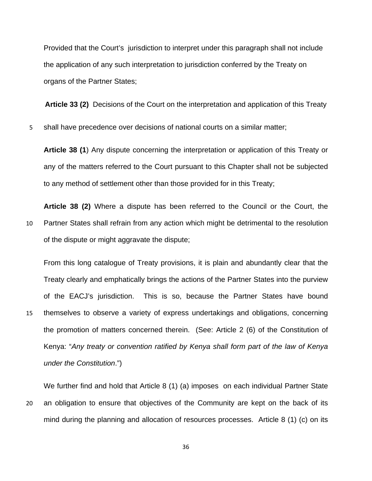Provided that the Court's jurisdiction to interpret under this paragraph shall not include the application of any such interpretation to jurisdiction conferred by the Treaty on organs of the Partner States;

**Article 33 (2)** Decisions of the Court on the interpretation and application of this Treaty

5 shall have precedence over decisions of national courts on a similar matter;

**Article 38 (1**) Any dispute concerning the interpretation or application of this Treaty or any of the matters referred to the Court pursuant to this Chapter shall not be subjected to any method of settlement other than those provided for in this Treaty;

10 **Article 38 (2)** Where a dispute has been referred to the Council or the Court, the Partner States shall refrain from any action which might be detrimental to the resolution of the dispute or might aggravate the dispute;

From this long catalogue of Treaty provisions, it is plain and abundantly clear that the Treaty clearly and emphatically brings the actions of the Partner States into the purview of the EACJ's jurisdiction. This is so, because the Partner States have bound themselves to observe a variety of express undertakings and obligations, concerning the promotion of matters concerned therein. (See: Article 2 (6) of the Constitution of Kenya: "*Any treaty or convention ratified by Kenya shall form part of the law of Kenya under the Constitution*.")

15

20 We further find and hold that Article 8 (1) (a) imposes on each individual Partner State an obligation to ensure that objectives of the Community are kept on the back of its mind during the planning and allocation of resources processes. Article 8 (1) (c) on its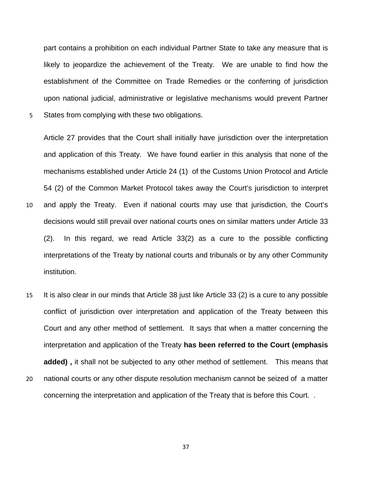part contains a prohibition on each individual Partner State to take any measure that is likely to jeopardize the achievement of the Treaty. We are unable to find how the establishment of the Committee on Trade Remedies or the conferring of jurisdiction upon national judicial, administrative or legislative mechanisms would prevent Partner 5 States from complying with these two obligations.

Article 27 provides that the Court shall initially have jurisdiction over the interpretation and application of this Treaty. We have found earlier in this analysis that none of the mechanisms established under Article 24 (1) of the Customs Union Protocol and Article 54 (2) of the Common Market Protocol takes away the Court's jurisdiction to interpret and apply the Treaty. Even if national courts may use that jurisdiction, the Court's decisions would still prevail over national courts ones on similar matters under Article 33 (2). In this regard, we read Article 33(2) as a cure to the possible conflicting interpretations of the Treaty by national courts and tribunals or by any other Community institution.

10

15 20 It is also clear in our minds that Article 38 just like Article 33 (2) is a cure to any possible conflict of jurisdiction over interpretation and application of the Treaty between this Court and any other method of settlement. It says that when a matter concerning the interpretation and application of the Treaty **has been referred to the Court (emphasis added) ,** it shall not be subjected to any other method of settlement. This means that national courts or any other dispute resolution mechanism cannot be seized of a matter

concerning the interpretation and application of the Treaty that is before this Court. .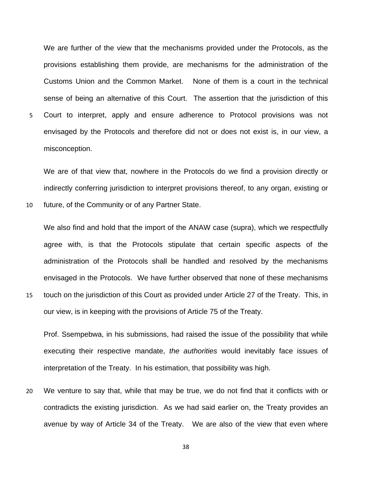We are further of the view that the mechanisms provided under the Protocols, as the provisions establishing them provide, are mechanisms for the administration of the Customs Union and the Common Market. None of them is a court in the technical sense of being an alternative of this Court. The assertion that the jurisdiction of this Court to interpret, apply and ensure adherence to Protocol provisions was not envisaged by the Protocols and therefore did not or does not exist is, in our view, a misconception.

5

10

15

We are of that view that, nowhere in the Protocols do we find a provision directly or indirectly conferring jurisdiction to interpret provisions thereof, to any organ, existing or future, of the Community or of any Partner State.

We also find and hold that the import of the ANAW case (supra), which we respectfully agree with, is that the Protocols stipulate that certain specific aspects of the administration of the Protocols shall be handled and resolved by the mechanisms envisaged in the Protocols. We have further observed that none of these mechanisms touch on the jurisdiction of this Court as provided under Article 27 of the Treaty. This, in

our view, is in keeping with the provisions of Article 75 of the Treaty.

Prof. Ssempebwa, in his submissions, had raised the issue of the possibility that while executing their respective mandate, *the authorities* would inevitably face issues of interpretation of the Treaty. In his estimation, that possibility was high.

20 We venture to say that, while that may be true, we do not find that it conflicts with or contradicts the existing jurisdiction. As we had said earlier on, the Treaty provides an avenue by way of Article 34 of the Treaty. We are also of the view that even where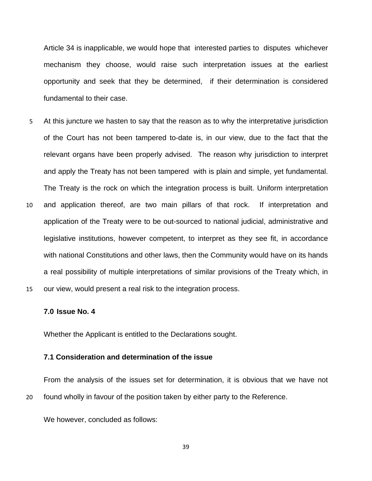Article 34 is inapplicable, we would hope that interested parties to disputes whichever mechanism they choose, would raise such interpretation issues at the earliest opportunity and seek that they be determined, if their determination is considered fundamental to their case.

At this juncture we hasten to say that the reason as to why the interpretative jurisdiction of the Court has not been tampered to-date is, in our view, due to the fact that the relevant organs have been properly advised. The reason why jurisdiction to interpret and apply the Treaty has not been tampered with is plain and simple, yet fundamental. The Treaty is the rock on which the integration process is built. Uniform interpretation and application thereof, are two main pillars of that rock. If interpretation and application of the Treaty were to be out-sourced to national judicial, administrative and legislative institutions, however competent, to interpret as they see fit, in accordance with national Constitutions and other laws, then the Community would have on its hands a real possibility of multiple interpretations of similar provisions of the Treaty which, in our view, would present a real risk to the integration process. 5 10 15

#### **7.0 Issue No. 4**

Whether the Applicant is entitled to the Declarations sought.

#### **7.1 Consideration and determination of the issue**

20 From the analysis of the issues set for determination, it is obvious that we have not found wholly in favour of the position taken by either party to the Reference.

We however, concluded as follows: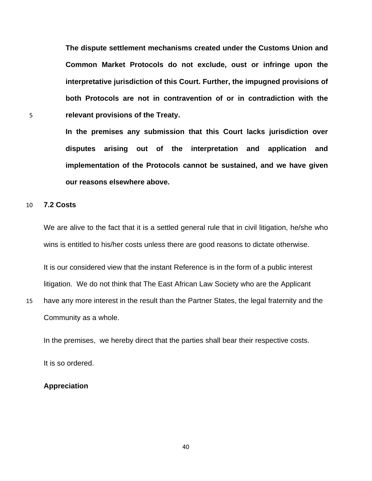**The dispute settlement mechanisms created under the Customs Union and Common Market Protocols do not exclude, oust or infringe upon the interpretative jurisdiction of this Court. Further, the impugned provisions of both Protocols are not in contravention of or in contradiction with the**  5 **relevant provisions of the Treaty.** 

**In the premises any submission that this Court lacks jurisdiction over** 

**disputes arising out of the interpretation and application and** 

**implementation of the Protocols cannot be sustained, and we have given** 

**our reasons elsewhere above.** 

#### 10 **7.2 Costs**

We are alive to the fact that it is a settled general rule that in civil litigation, he/she who wins is entitled to his/her costs unless there are good reasons to dictate otherwise.

It is our considered view that the instant Reference is in the form of a public interest litigation. We do not think that The East African Law Society who are the Applicant

15 have any more interest in the result than the Partner States, the legal fraternity and the Community as a whole.

In the premises, we hereby direct that the parties shall bear their respective costs.

It is so ordered.

#### **Appreciation**